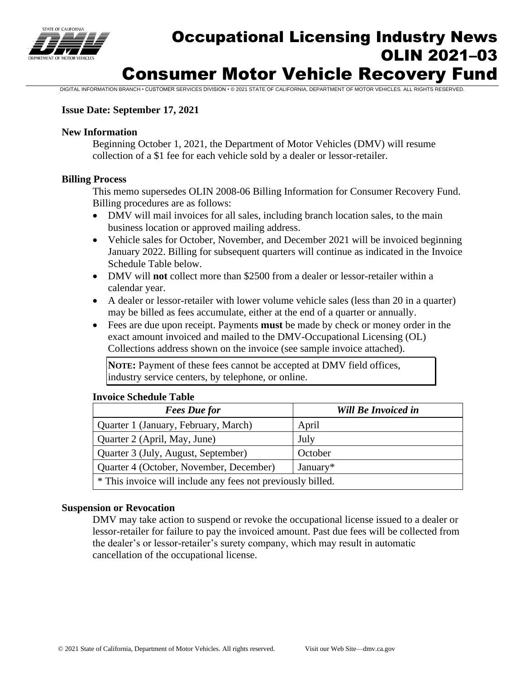

# Occupational Licensing Industry News OLIN 2021–03 Consumer Motor Vehicle Recovery Fund

DIGITAL INFORMATION BRANCH • CUSTOMER SERVICES DIVISION • © 2021 STATE OF CALIFORNIA, DEPARTMENT OF MOTOR VEHICLES. ALL RIGHTS RESERVED.

# **Issue Date: September 17, 2021**

# **New Information**

Beginning October 1, 2021, the Department of Motor Vehicles (DMV) will resume collection of a \$1 fee for each vehicle sold by a dealer or lessor-retailer.

# **Billing Process**

This memo supersedes OLIN 2008-06 Billing Information for Consumer Recovery Fund. Billing procedures are as follows:

- DMV will mail invoices for all sales, including branch location sales, to the main business location or approved mailing address.
- Vehicle sales for October, November, and December 2021 will be invoiced beginning January 2022. Billing for subsequent quarters will continue as indicated in the Invoice Schedule Table below.
- DMV will **not** collect more than \$2500 from a dealer or lessor-retailer within a calendar year.
- A dealer or lessor-retailer with lower volume vehicle sales (less than 20 in a quarter) may be billed as fees accumulate, either at the end of a quarter or annually.
- Fees are due upon receipt. Payments **must** be made by check or money order in the exact amount invoiced and mailed to the DMV-Occupational Licensing (OL) Collections address shown on the invoice (see sample invoice attached).

**NOTE:** Payment of these fees cannot be accepted at DMV field offices, industry service centers, by telephone, or online.

# **Invoice Schedule Table**

| <b>Fees</b> Due for                                         | <b>Will Be Invoiced in</b> |  |  |  |  |
|-------------------------------------------------------------|----------------------------|--|--|--|--|
| Quarter 1 (January, February, March)                        | April                      |  |  |  |  |
| Quarter 2 (April, May, June)                                | July                       |  |  |  |  |
| Quarter 3 (July, August, September)                         | October                    |  |  |  |  |
| Quarter 4 (October, November, December)<br>January*         |                            |  |  |  |  |
| * This invoice will include any fees not previously billed. |                            |  |  |  |  |

# **Suspension or Revocation**

DMV may take action to suspend or revoke the occupational license issued to a dealer or lessor-retailer for failure to pay the invoiced amount. Past due fees will be collected from the dealer's or lessor-retailer's surety company, which may result in automatic cancellation of the occupational license.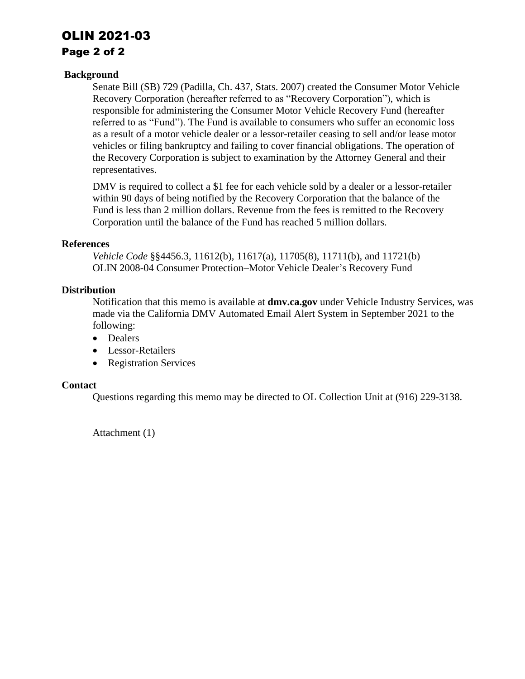# OLIN 2021-03

# Page 2 of 2

# **Background**

Senate Bill (SB) 729 (Padilla, Ch. 437, Stats. 2007) created the Consumer Motor Vehicle Recovery Corporation (hereafter referred to as "Recovery Corporation"), which is responsible for administering the Consumer Motor Vehicle Recovery Fund (hereafter referred to as "Fund"). The Fund is available to consumers who suffer an economic loss as a result of a motor vehicle dealer or a lessor-retailer ceasing to sell and/or lease motor vehicles or filing bankruptcy and failing to cover financial obligations. The operation of the Recovery Corporation is subject to examination by the Attorney General and their representatives.

DMV is required to collect a \$1 fee for each vehicle sold by a dealer or a lessor-retailer within 90 days of being notified by the Recovery Corporation that the balance of the Fund is less than 2 million dollars. Revenue from the fees is remitted to the Recovery Corporation until the balance of the Fund has reached 5 million dollars.

# **References**

*Vehicle Code* §§4456.3, 11612(b), 11617(a), 11705(8), 11711(b), and 11721(b) OLIN 2008-04 Consumer Protection–Motor Vehicle Dealer's Recovery Fund

# **Distribution**

Notification that this memo is available at **[dmv.ca.gov](https://dmv.ca.gov)** under Vehicle Industry Services, was made via the California DMV Automated Email Alert System in September 2021 to the following:

- Dealers
- Lessor-Retailers
- Registration Services

# **Contact**

Questions regarding this memo may be directed to OL Collection Unit at (916) 229-3138.

Attachment (1)